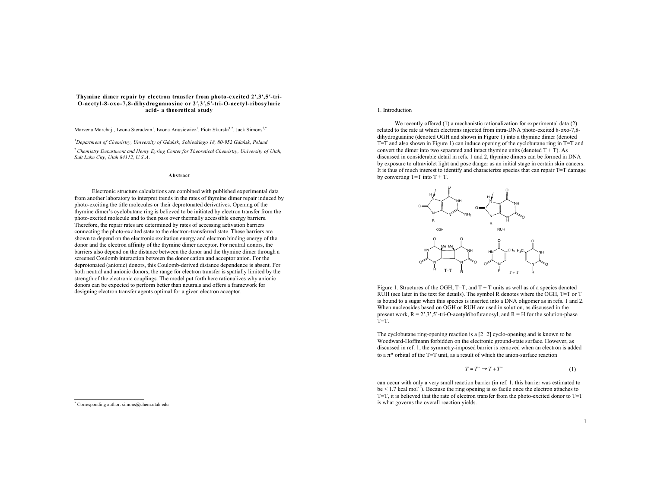# **Thymine dimer repair by electron transfer from photo-excited 2!,3!,5!-tri-O-acetyl-8-oxo-7,8-dihydroguanosine or 2!,3!,5!-tri-O-acetyl-ribosyluric acid- a theoretical study**

Marzena Marchaj<sup>1</sup>, Iwona Sieradzan<sup>1</sup>, Iwona Anusiewicz<sup>1</sup>, Piotr Skurski<sup>1,2</sup>, Jack Simons<sup>2,\*</sup>

<sup>1</sup>Department of Chemistry, University of Gdańsk, Sobieskiego 18, 80-952 Gdańsk, Poland

<sup>2</sup>*Chemistry Department and Henry Eyring Center for Theoretical Chemistry, University of Utah, Salt Lake City, Utah 84112, U.S.A .*

#### **Abstract**

Electronic structure calculations are combined with published experimental data from another laboratory to interpret trends in the rates of thymine dimer repair induced by photo-exciting the title molecules or their deprotonated derivatives. Opening of the thymine dimer's cyclobutane ring is believed to be initiated by electron transfer from the photo-excited molecule and to then pass over thermally accessible energy barriers. Therefore, the repair rates are determined by rates of accessing activation barriers connecting the photo-excited state to the electron-transferred state. These barriers are shown to depend on the electronic excitation energy and electron binding energy of the donor and the electron affinity of the thymine dimer acceptor. For neutral donors, the barriers also depend on the distance between the donor and the thymine dimer through a screened Coulomb interaction between the donor cation and acceptor anion. For the deprotonated (anionic) donors, this Coulomb-derived distance dependence is absent. For both neutral and anionic donors, the range for electron transfer is spatially limited by the strength of the electronic couplings. The model put forth here rationalizes why anionic donors can be expected to perform better than neutrals and offers a framework for designing electron transfer agents optimal for a given electron acceptor.

# 1. Introduction

We recently offered (1) a mechanistic rationalization for experimental data (2) related to the rate at which electrons injected from intra-DNA photo-excited 8-oxo-7,8 dihydroguanine (denoted OGH and shown in Figure 1) into a thymine dimer (denoted  $T=T$  and also shown in Figure 1) can induce opening of the cyclobutane ring in  $T=T$  and convert the dimer into two separated and intact thymine units (denoted  $T + T$ ). As discussed in considerable detail in refs. 1 and 2, thymine dimers can be formed in DNA by exposure to ultraviolet light and pose danger as an initial stage in certain skin cancers. It is thus of much interest to identify and characterize species that can repair T=T damage by converting  $T=T$  into  $T + T$ .



Figure 1. Structures of the OGH,  $T=T$ , and  $T + T$  units as well as of a species denoted RUH (see later in the text for details). The symbol R denotes where the OGH, T=T or T is bound to a sugar when this species is inserted into a DNA oligomer as in refs. 1 and 2. When nucleosides based on OGH or RUH are used in solution, as discussed in the present work,  $R = 2^{\circ}, 3^{\circ}, 5^{\circ}$ -tri-O-acetylribofuranosyl, and  $R = H$  for the solution-phase  $T=T$ .

The cyclobutane ring-opening reaction is a [2+2] cyclo-opening and is known to be Woodward-Hoffmann forbidden on the electronic ground-state surface. However, as discussed in ref. 1, the symmetry-imposed barrier is removed when an electron is added to a  $\pi^*$  orbital of the T=T unit, as a result of which the anion-surface reaction

$$
T = T^- \to T + T^- \tag{1}
$$

can occur with only a very small reaction barrier (in ref. 1, this barrier was estimated to  $be < 1.7$  kcal mol<sup>-1</sup>). Because the ring opening is so facile once the electron attaches to T=T, it is believed that the rate of electron transfer from the photo-excited donor to T=T is what governs the overall reaction yields.

 <sup>\*</sup> Corresponding author: simons@chem.utah.edu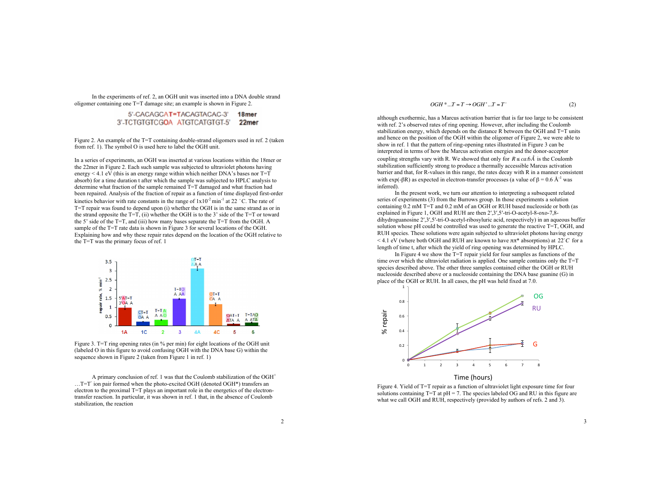In the experiments of ref. 2, an OGH unit was inserted into a DNA double strand oligomer containing one T=T damage site; an example is shown in Figure 2.

> 5'-CACAGCAT=TACAGTACAC-3' 18<sub>mer</sub> 3'-TCTGTGTCGOA ATGTCATGTGT-5' 22mer

Figure 2. An example of the T=T containing double-strand oligomers used in ref. 2 (taken from ref. 1). The symbol O is used here to label the OGH unit.

In a series of experiments, an OGH was inserted at various locations within the 18mer or the 22mer in Figure 2. Each such sample was subjected to ultraviolet photons having energy  $\leq 4.1$  eV (this is an energy range within which neither DNA's bases nor T=T absorb) for a time duration t after which the sample was subjected to HPLC analysis to determine what fraction of the sample remained T=T damaged and what fraction had been repaired. Analysis of the fraction of repair as a function of time displayed first-order kinetics behavior with rate constants in the range of  $1x10^{-2}$  min<sup>-1</sup> at 22 °C. The rate of T=T repair was found to depend upon (i) whether the OGH is in the same strand as or in the strand opposite the  $T=T$ , (ii) whether the OGH is to the 3' side of the  $T=T$  or toward the 5' side of the T=T, and (iii) how many bases separate the T=T from the OGH. A sample of the T=T rate data is shown in Figure 3 for several locations of the OGH. Explaining how and why these repair rates depend on the location of the OGH relative to the T=T was the primary focus of ref. 1



Figure 3. T=T ring opening rates (in % per min) for eight locations of the OGH unit (labeled O in this figure to avoid confusing OGH with the DNA base G) within the sequence shown in Figure 2 (taken from Figure 1 in ref. 1)

A primary conclusion of ref. 1 was that the Coulomb stabilization of the OGH<sup>+</sup>  $\dots$ T=T<sup>-</sup> ion pair formed when the photo-excited OGH (denoted OGH\*) transfers an electron to the proximal T=T plays an important role in the energetics of the electrontransfer reaction. In particular, it was shown in ref. 1 that, in the absence of Coulomb stabilization, the reaction

 $OGH^*...T = T \rightarrow OGH^+...T = T$ <sup>-</sup> (2)

although exothermic, has a Marcus activation barrier that is far too large to be consistent with ref. 2's observed rates of ring opening. However, after including the Coulomb stabilization energy, which depends on the distance R between the OGH and T=T units and hence on the position of the OGH within the oligomer of Figure 2, we were able to show in ref. 1 that the pattern of ring-opening rates illustrated in Figure 3 can be interpreted in terms of how the Marcus activation energies and the donor-acceptor coupling strengths vary with R. We showed that only for  $R \leq c a \cdot 6 \hat{A}$  is the Coulomb stabilization sufficiently strong to produce a thermally accessible Marcus activation barrier and that, for R-values in this range, the rates decay with R in a manner consistent with exp(- $\beta$ R) as expected in electron-transfer processes (a value of  $\beta$  = 0.6 Å<sup>-1</sup> was inferred).

In the present work, we turn our attention to interpreting a subsequent related series of experiments (3) from the Burrows group. In those experiments a solution containing  $0.2$  mM T=T and 0.2 mM of an OGH or RUH based nucleoside or both (as explained in Figure 1, OGH and RUH are then  $2^{\prime},3^{\prime},5^{\prime}$ -tri-O-acetyl-8-oxo-7,8dihydroguanosine 2',3',5'-tri-O-acetyl-ribosyluric acid, respectively) in an aqueous buffer solution whose pH could be controlled was used to generate the reactive T=T, OGH, and RUH species. These solutions were again subjected to ultraviolet photons having energy  $<$  4.1 eV (where both OGH and RUH are known to have  $\pi \pi$ <sup>\*</sup> absorptions) at 22°*C* for a length of time t, after which the yield of ring opening was determined by HPLC.

In Figure 4 we show the T=T repair yield for four samples as functions of the time over which the ultraviolet radiation is applied. One sample contains only the T=T species described above. The other three samples contained either the OGH or RUH nucleoside described above or a nucleoside containing the DNA base guanine (G) in place of the OGH or RUH. In all cases, the pH was held fixed at 7.0.



Figure 4. Yield of T=T repair as a function of ultraviolet light exposure time for four solutions containing  $T=T$  at  $pH = 7$ . The species labeled OG and RU in this figure are what we call OGH and RUH, respectively (provided by authors of refs. 2 and 3).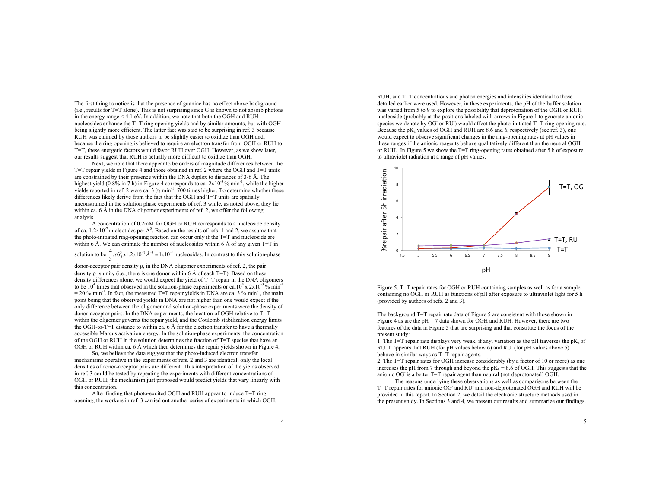The first thing to notice is that the presence of guanine has no effect above background  $(i.e.,$  results for T=T alone). This is not surprising since G is known to not absorb photons in the energy range < 4.1 eV. In addition, we note that both the OGH and RUH nucleosides enhance the T=T ring opening yields and by similar amounts, but with OGH being slightly more efficient. The latter fact was said to be surprising in ref. 3 because RUH was claimed by those authors to be slightly easier to oxidize than OGH and, because the ring opening is believed to require an electron transfer from OGH or RUH to T=T, these energetic factors would favor RUH over OGH. However, as we show later, our results suggest that RUH is actually more difficult to oxidize than OGH.

Next, we note that there appear to be orders of magnitude differences between the  $T=T$  repair vields in Figure 4 and those obtained in ref. 2 where the OGH and  $T=T$  units are constrained by their presence within the DNA duplex to distances of 3-6 Å. The highest yield (0.8% in 7 h) in Figure 4 corresponds to ca.  $2x10^{-3}$ % min<sup>-1</sup>, while the higher yields reported in ref. 2 were ca. 3 % min<sup>-1</sup>, 700 times higher. To determine whether these differences likely derive from the fact that the OGH and T=T units are spatially unconstrained in the solution phase experiments of ref. 3 while, as noted above, they lie within ca. 6 Å in the DNA oligomer experiments of ref. 2, we offer the following analysis.

A concentration of 0.2mM for OGH or RUH corresponds to a nucleoside density of ca.  $1.2 \times 10^{-7}$  nucleotides per  $\AA^3$ . Based on the results of refs. 1 and 2, we assume that the photo-initiated ring-opening reaction can occur only if the T=T and nucleoside are within 6 Å. We can estimate the number of nucleosides within 6 Å of any given  $T=T$  in solution to be  $\frac{4}{3}\pi 6_A^3 x 1.2x 10^{-7} \hat{A}^{-3} = 1x 10^{-4}$  nucleosides. In contrast to this solution-phase

donor-acceptor pair density  $\rho$ , in the DNA oligomer experiments of ref. 2, the pair density  $\rho$  is unity (i.e., there is one donor within 6 Å of each T=T). Based on these density differences alone, we would expect the yield of  $T=T$  repair in the DNA oligomers to be  $10^4$  times that observed in the solution-phase experiments or ca.10<sup>4</sup> x 2x10<sup>-3</sup> % min<sup>-1</sup>  $= 20$  % min<sup>-1</sup>. In fact, the measured T=T repair yields in DNA are ca. 3 % min<sup>-1</sup>, the main point being that the observed yields in DNA are not higher than one would expect if the only difference between the oligomer and solution-phase experiments were the density of donor-acceptor pairs. In the DNA experiments, the location of OGH relative to T=T within the oligomer governs the repair yield, and the Coulomb stabilization energy limits the OGH-to-T=T distance to within ca. 6 Å for the electron transfer to have a thermally accessible Marcus activation energy. In the solution-phase experiments, the concentration of the OGH or RUH in the solution determines the fraction of T=T species that have an OGH or RUH within ca. 6 Å which then determines the repair yields shown in Figure 4.

So, we believe the data suggest that the photo-induced electron transfer mechanisms operative in the experiments of refs. 2 and 3 are identical; only the local densities of donor-acceptor pairs are different. This interpretation of the yields observed in ref. 3 could be tested by repeating the experiments with different concentrations of OGH or RUH; the mechanism just proposed would predict yields that vary linearly with this concentration.

After finding that photo-excited OGH and RUH appear to induce T=T ring opening, the workers in ref. 3 carried out another series of experiments in which OGH,

RUH, and T=T concentrations and photon energies and intensities identical to those detailed earlier were used. However, in these experiments, the pH of the buffer solution was varied from 5 to 9 to explore the possibility that deprotonation of the OGH or RUH nucleoside (probably at the positions labeled with arrows in Figure 1 to generate anionic species we denote by  $\overline{OG}$  or  $\overline{RU}$ ) would affect the photo-initiated  $T=T$  ring opening rate. Because the  $pK_a$  values of OGH and RUH are 8.6 and 6, respectively (see ref. 3), one would expect to observe significant changes in the ring-opening rates at pH values in these ranges if the anionic reagents behave qualitatively different than the neutral OGH or RUH. In Figure 5 we show the  $T=T$  ring-opening rates obtained after 5 h of exposure to ultraviolet radiation at a range of pH values.



Figure 5. T=T repair rates for OGH or RUH containing samples as well as for a sample containing no OGH or RUH as functions of pH after exposure to ultraviolet light for 5 h (provided by authors of refs. 2 and 3).

The background T=T repair rate data of Figure 5 are consistent with those shown in Figure 4 as are the  $pH = 7$  data shown for OGH and RUH. However, there are two features of the data in Figure 5 that are surprising and that constitute the focus of the present study:

1. The T=T repair rate displays very weak, if any, variation as the pH traverses the pK<sub>a</sub> of RU. It appears that RUH (for pH values below 6) and RU<sup>-</sup> (for pH values above 6) behave in similar ways as T=T repair agents.

2. The T=T repair rates for OGH increase considerably (by a factor of 10 or more) as one increases the pH from 7 through and beyond the  $pK_a = 8.6$  of OGH. This suggests that the anionic OG-is a better T=T repair agent than neutral (not deprotonated) OGH.

The reasons underlying these observations as well as comparisons between the T=T repair rates for anionic OG<sup>-</sup> and RU<sup>-</sup> and non-deprotonated OGH and RUH will be provided in this report. In Section 2, we detail the electronic structure methods used in the present study. In Sections 3 and 4, we present our results and summarize our findings.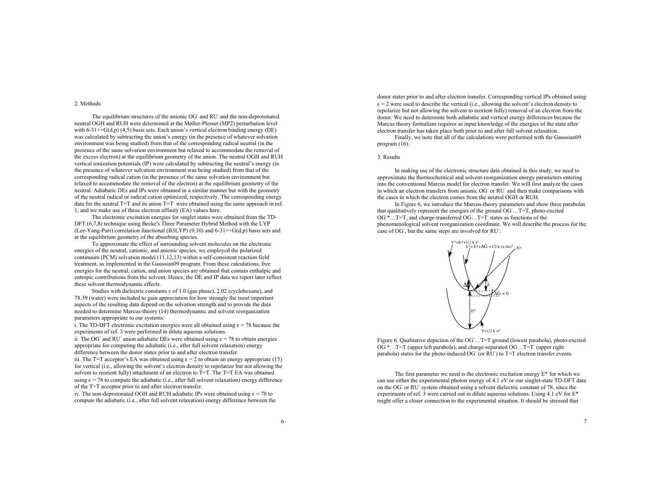2. Methods

The equilibrium structures of the anionic OG and RU and the non-deprotonated neutral OGH and RUH were determined at the Møller-Plesset (MP2) perturbation level with  $6-31++G(d,p)$  (4,5) basis sets. Each anion's vertical electron binding energy (DE) was calculated by subtracting the anion's energy (in the presence of whatever solvation environment was being studied) from that of the corresponding radical neutral (in the presence of the same solvation environment but relaxed to accommodate the removal of the excess electron) at the equilibrium geometry of the anion. The neutral OGH and RUH vertical ionization potentials (IP) were calculated by subtracting the neutral's energy (in the presence of whatever solvation environment was being studied) from that of the corresponding radical cation (in the presence of the same solvation environment but relaxed to accommodate the removal of the electron) at the equilibrium geometry of the neutral. Adiabatic DEs and IPs were obtained in a similar manner but with the geometry of the neutral radical or radical cation optimized, respectively. The corresponding energy data for the neutral  $T=T$  and its anion  $T=T$  were obtained using the same approach in ref. 1, and we make use of these electron affinity (EA) values here.

The electronic excitation energies for singlet states were obtained from the TD-DFT (6.7.8) technique using Becke's Three Parameter Hybrid Method with the LYP (Lee-Yang-Parr) correlation functional (B3LYP) (9,10) and 6-31++G(d,p) basis sets and at the equilibrium geometry of the absorbing species.

To approximate the effect of surrounding solvent molecules on the electronic energies of the neutral, cationic, and anionic species, we employed the polarized continuum (PCM) solvation model (11,12,13) within a self-consistent reaction field treatment, as implemented in the Gaussian09 program. From these calculations, free energies for the neutral, cation, and anion species are obtained that contain enthalpic and entropic contributions from the solvent. Hence, the DE and IP data we report later reflect these solvent thermodynamic effects.

Studies with dielectric constants  $\varepsilon$  of 1.0 (gas phase), 2.02 (cyclohexane), and 78.39 (water) were included to gain appreciation for how strongly the most important aspects of the resulting data depend on the solvation strength and to provide the data needed to determine Marcus-theory (14) thermodynamic and solvent reorganization parameters appropriate to our systems:

i. The TD-DFT electronic excitation energies were all obtained using  $\epsilon = 78$  because the experiments of ref. 3 were performed in dilute aqueous solutions.

ii. The OG<sup>-</sup> and RU<sup>-</sup> anion adiabatic DEs were obtained using  $\epsilon = 78$  to obtain energies appropriate for computing the adiabatic (i.e., after full solvent relaxation) energy difference between the donor states prior to and after electron transfer.

iii. The T=T acceptor's EA was obtained using  $\epsilon = 2$  to obtain an energy appropriate (15) for vertical (i.e., allowing the solvent's electron density to repolarize but not allowing the solvent to reorient fully) attachment of an electron to T=T. The T=T EA was obtained using  $\epsilon$  = 78 to compute the adiabatic (i.e., after full solvent relaxation) energy difference of the T=T acceptor prior to and after electron transfer.

iv. The non-deprotonated OGH and RUH adiabatic IPs were obtained using  $\epsilon = 78$  to compute the adiabatic (i.e., after full solvent relaxation) energy difference between the donor states prior to and after electron transfer. Corresponding vertical IPs obtained using  $\epsilon$  = 2 were used to describe the vertical (i.e., allowing the solvent's electron density to repolarize but not allowing the solvent to reorient fully) removal of an electron from the donor. We need to determine both adiabatic and vertical energy differences because the Marcus theory formalism requires as input knowledge of the energies of the state after electron transfer has taken place both prior to and after full solvent relaxation.

Finally, we note that all of the calculations were performed with the Gaussian09 program (16).

### 3. Results

In making use of the electronic structure data obtained in this study, we need to approximate the thermochemical and solvent-reorganization energy parameters entering into the conventional Marcus model for electron transfer. We will first analyze the cases in which an electron transfers from anionic  $\overline{OG}$  or  $\overline{RU}$  and then make comparisons with the cases in which the electron comes from the neutral OGH or RUH.

In Figure 6, we introduce the Marcus-theory parameters and show three parabolas that qualitatively represent the energies of the ground OG- …T=T, photo-excited OG<sup>\*</sup>...T=T, and charge-transferred OG...T=T states as functions of the phenomenological solvent reorganization coordinate. We will describe the process for the case of OG<sup>-</sup>, but the same steps are involved for RU<sup>-</sup>.



Figure 6. Qualitative depiction of the OG ... T=T ground (lowest parabola), photo-excited OG<sup>\*</sup>...T=T (upper left parabola), and charge-separated OG...T=T (upper right parabola) states for the photo-induced OG (or RU) to T=T electron transfer events.

The first parameter we need is the electronic excitation energy  $E^*$  for which we can use either the experimental photon energy of 4.1 eV or our singlet-state TD-DFT data on the OG- or RU- system obtained using a solvent dielectric constant of 78, since the experiments of ref. 3 were carried out in dilute aqueous solutions. Using 4.1 eV for E\* might offer a closer connection to the experimental situation. It should be stressed that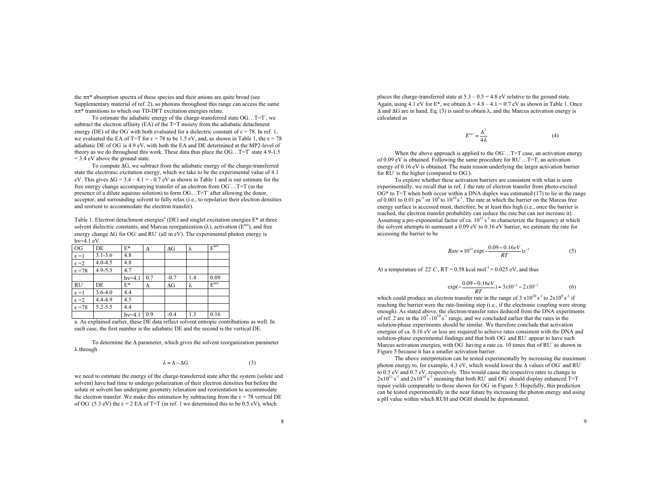the  $\pi\pi^*$  absorption spectra of these species and their anions are quite broad (see Supplementary material of ref. 2), so photons throughout this range can access the same  $\pi\pi^*$  transitions to which our TD-DFT excitation energies relate.

To estimate the adiabatic energy of the charge-transferred state OG...T=T, we subtract the electron affinity (EA) of the T=T moiety from the adiabatic detachment energy (DE) of the OG with both evaluated for a dielectric constant of  $\varepsilon = 78$ . In ref. 1, we evaluated the EA of T=T for  $\epsilon = 78$  to be 1.5 eV, and, as shown in Table 1, the  $\epsilon = 78$ adiabatic DE of OG is 4.9 eV, with both the EA and DE determined at the MP2-level of theory as we do throughout this work. These data thus place the  $OG$ . T=T state 4.9-1.5  $= 3.4$  eV above the ground state.

To compute  $\Delta G$ , we subtract from the adiabatic energy of the charge-transferred state the electronic excitation energy, which we take to be the experimental value of 4.1 eV. This gives  $\Delta G = 3.4 - 4.1 = -0.7$  eV as shown in Table 1 and is our estimate for the free energy change accompanying transfer of an electron from OG ... T=T (in the presence of a dilute aqueous solution) to form  $OG$ ...  $T=T$  after allowing the donor, acceptor, and surrounding solvent to fully relax (i.e., to repolarize their electron densities and reorient to accommodate the electron transfer).

Table 1. Electron detachment energies<sup>a</sup> (DE) and singlet excitation energies  $E^*$  at three solvent dielectric constants, and Marcus reorganization  $(\lambda)$ , activation ( $E^{act}$ ), and free energy change  $\Delta G$  for OG<sup>-</sup> and RU<sup>-</sup> (all in eV). The experimental photon energy is  $hv=4.1$  eV.

| $OG-$              | DE          | E*       | Δ   | $\Delta G$ | λ   | $E^{\text{act}}$ |
|--------------------|-------------|----------|-----|------------|-----|------------------|
| $\varepsilon = 1$  | $3.1 - 3.6$ | 4.8      |     |            |     |                  |
| $\varepsilon = 2$  | $4.0 - 4.5$ | 4.8      |     |            |     |                  |
| $\varepsilon = 78$ | $4.9 - 5.3$ | 4.7      |     |            |     |                  |
|                    |             | $hv=4.1$ | 0.7 | $-0.7$     | 1.4 | 0.09             |
| $RU-$              | DE          | E*       | Δ   | $\Delta G$ | λ   | $E^{\text{act}}$ |
| $\varepsilon = 1$  | $3.6 - 4.0$ | 4.4      |     |            |     |                  |
| $\varepsilon = 2$  | 4.4-4.9     | 4.5      |     |            |     |                  |
| $\varepsilon = 78$ | $5.2 - 5.5$ | 4.4      |     |            |     |                  |
|                    |             | $hv=4.1$ | 0.9 | $-0.4$     | 1.3 | 0.16             |

a. As explained earlier, these DE data reflect solvent entropic contributions as well. In each case, the first number is the adiabatic DE and the second is the vertical DE.

To determine the  $\Delta$  parameter, which gives the solvent reorganization parameter & through

$$
\lambda = \Delta - \Delta G \tag{3}
$$

we need to estimate the energy of the charge-transferred state after the system (solute and solvent) have had time to undergo polarization of their electron densities but before the solute or solvent has undergone geometry relaxation and reorientation to accommodate the electron transfer. We make this estimation by subtracting from the  $\epsilon$  = 78 vertical DE of OG<sup>-</sup> (5.3 eV) the  $\varepsilon = 2$  EA of T=T (in ref. 1 we determined this to be 0.5 eV), which

places the charge-transferred state at  $5.3 - 0.5 = 4.8$  eV relative to the ground state. Again, using 4.1 eV for  $E^*$ , we obtain  $\Delta = 4.8 - 4.1 = 0.7$  eV as shown in Table 1. Once  $\Delta$  and  $\Delta G$  are in hand, Eq. (3) is used to obtain  $\lambda$ , and the Marcus activation energy is calculated as

$$
E^{act} = \frac{\Delta^2}{4\lambda} \tag{4}
$$

When the above approach is applied to the  $OG^-$ ... T=T case, an activation energy of 0.09 eV is obtained. Following the same procedure for RU ... T=T, an activation energy of 0.16 eV is obtained. The main reason underlying the larger activation barrier for  $\overline{RU}$  is the higher (compared to  $OG$ ).

To explore whether these activation barriers are consistent with what is seen experimentally, we recall that in ref. 1 the rate of electron transfer from photo-excited  $OG*$  to T=T when both occur within a DNA duplex was estimated (17) to lie in the range of 0.001 to 0.01 ps<sup>-1</sup> or  $10^9$  to  $10^{10}$  s<sup>-1</sup>. The rate at which the barrier on the Marcus free energy surface is accessed must, therefore, be at least this high (i.e., once the barrier is reached, the electron transfer probability can reduce the rate but can not increase it). Assuming a pre-exponential factor of ca.  $10^{12}$  s<sup>-1</sup> to characterize the frequency at which the solvent attempts to surmount a 0.09 eV to 0.16 eV barrier, we estimate the rate for accessing the barrier to be

$$
Rate = 10^{12} \exp(-\frac{0.09 - 0.16eV}{RT})s^{-1}
$$
 (5)

At a temperature of  $22^{\circ}C$ ,  $RT = 0.58$  kcal mol<sup>-1</sup> = 0.025 eV, and thus

$$
\exp(-\frac{0.09 - 0.16eV}{RT}) = 3x10^{-2} - 2x10^{-3}
$$
 (6)  
which could produce an electron transfer rate in the range of 3 x10<sup>10</sup> s<sup>-1</sup> to 2x10<sup>9</sup> s<sup>-1</sup> if

reaching the barrier were the rate-limiting step (i.e., if the electronic coupling were strong enough). As stated above, the electron-transfer rates deduced from the DNA experiments of ref. 2 are in the  $10^9 - 10^{10}$  s<sup>-1</sup> range, and we concluded earlier that the rates in the solution-phase experiments should be similar. We therefore conclude that activation energies of ca. 0.16 eV or less are required to achieve rates consistent with the DNA and solution-phase experimental findings and that both OG and RU appear to have such Marcus activation energies, with OG- having a rate ca. 10 times that of RU- as shown in Figure 5 because it has a smaller activation barrier.

The above interpretation can be tested experimentally by increasing the maximum photon energy to, for example, 4.3 eV, which would lower the  $\Delta$  values of OG<sup>-</sup> and RU<sup>-</sup> to 0.5 eV and 0.7 eV, respectively. This would cause the respective rates to change to  $2x10^{11}$  s<sup>-1</sup> and  $2x10^{10}$  s<sup>-1</sup> meaning that both RU<sup>-</sup> and OG<sup>-</sup> should display enhanced T=T repair yields comparable to those shown for OG<sup>-</sup> in Figure 5. Hopefully, this prediction can be tested experimentally in the near future by increasing the photon energy and using a pH value within which RUH and OGH should be deprotonated.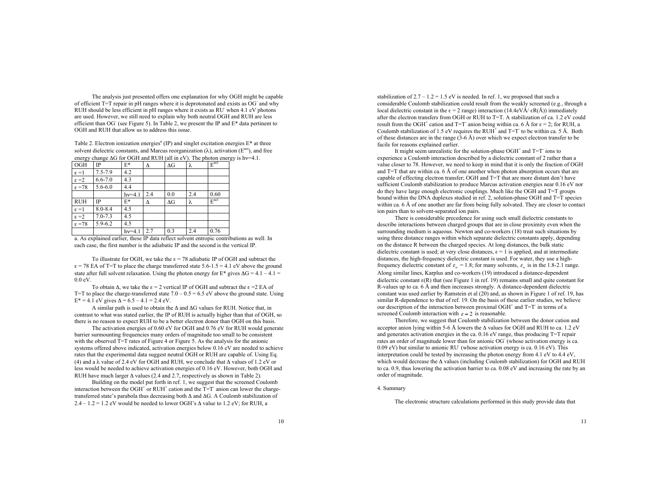The analysis just presented offers one explanation for why OGH might be capable of efficient  $T=T$  repair in pH ranges where it is deprotonated and exists as  $OG^-$  and why RUH should be less efficient in pH ranges where it exists as RU- when 4.1 eV photons are used. However, we still need to explain why both neutral OGH and RUH are less efficient than OG<sup>-</sup> (see Figure 5). In Table 2, we present the IP and  $E^*$  data pertinent to OGH and RUH that allow us to address this issue.

Table 2. Electron ionization energies<sup>a</sup> (IP) and singlet excitation energies  $E^*$  at three solvent dielectric constants, and Marcus reorganization  $(\lambda)$ , activation ( $E^{act}$ ), and free energy change  $\Delta G$  for OGH and RUH (all in eV). The photon energy is h $v=4.1$ .

| OGH                | IP          | $E^*$    | Δ   | $\Delta G$ | λ   | $E^{\text{act}}$ |
|--------------------|-------------|----------|-----|------------|-----|------------------|
| $\varepsilon = 1$  | 7.5-7.9     | 4.2      |     |            |     |                  |
| $\varepsilon = 2$  | $6.6 - 7.0$ | 4.3      |     |            |     |                  |
| $\varepsilon = 78$ | $5.6 - 6.0$ | 4.4      |     |            |     |                  |
|                    |             | $hv=4.1$ | 2.4 | 0.0        | 2.4 | 0.60             |
| <b>RUH</b>         | IP          | $E^*$    | Δ   | ΔG         | λ   | $E^{\text{act}}$ |
| $\varepsilon = 1$  | $8.0 - 8.4$ | 4.5      |     |            |     |                  |
| $\varepsilon = 2$  | $7.0 - 7.3$ | 4.5      |     |            |     |                  |
| $\varepsilon = 78$ | $5.9 - 6.2$ | 4.5      |     |            |     |                  |
|                    |             | $hv=4.1$ | 2.7 | 0.3        | 2.4 | 0.76             |

a. As explained earlier, these IP data reflect solvent entropic contributions as well. In each case, the first number is the adiabatic IP and the second is the vertical IP.

To illustrate for OGH, we take the  $\epsilon = 78$  adiabatic IP of OGH and subtract the  $\epsilon$  = 78 EA of T=T to place the charge transferred state 5.6-1.5 = 4.1 eV above the ground state after full solvent relaxation. Using the photon energy for  $E^*$  gives  $\Delta G = 4.1 - 4.1 =$ 0.0 eV.

To obtain  $\Delta$ , we take the  $\epsilon = 2$  vertical IP of OGH and subtract the  $\epsilon = 2$  EA of T=T to place the charge-transferred state  $7.0 - 0.5 = 6.5$  eV above the ground state. Using  $E^* = 4.1$  eV gives  $\Delta = 6.5 - 4.1 = 2.4$  eV.

A similar path is used to obtain the  $\Delta$  and  $\Delta G$  values for RUH. Notice that, in contrast to what was stated earlier, the IP of RUH is actually higher than that of OGH, so there is no reason to expect RUH to be a better electron donor than OGH on this basis.

The activation energies of 0.60 eV for OGH and 0.76 eV for RUH would generate barrier surmounting frequencies many orders of magnitude too small to be consistent with the observed T=T rates of Figure 4 or Figure 5. As the analysis for the anionic systems offered above indicated, activation energies below 0.16 eV are needed to achieve rates that the experimental data suggest neutral OGH or RUH are capable of. Using Eq. (4) and a  $\lambda$  value of 2.4 eV for OGH and RUH, we conclude that  $\Delta$  values of 1.2 eV or less would be needed to achieve activation energies of 0.16 eV. However, both OGH and RUH have much larger  $\Delta$  values (2.4 and 2.7, respectively as shown in Table 2).

Building on the model put forth in ref. 1, we suggest that the screened Coulomb interaction between the OGH<sup>+</sup> or RUH<sup>+</sup> cation and the  $T=T^-$  anion can lower the chargetransferred state's parabola thus decreasing both  $\Delta$  and  $\Delta G$ . A Coulomb stabilization of 2.4 – 1.2 = 1.2 eV would be needed to lower OGH's  $\Delta$  value to 1.2 eV; for RUH, a

stabilization of  $2.7 - 1.2 = 1.5$  eV is needed. In ref. 1, we proposed that such a considerable Coulomb stabilization could result from the weakly screened (e.g., through a local dielectric constant in the  $\epsilon = 2$  range) interaction (14.4eVÅ/ $\epsilon R(\hat{A})$ ) immediately after the electron transfers from OGH or RUH to T=T. A stabilization of ca. 1.2 eV could result from the OGH<sup>+</sup> cation and T=T<sup>-</sup> anion being within ca. 6 Å for  $\varepsilon = 2$ ; for RUH, a Coulomb stabilization of 1.5 eV requires the RUH<sup>+</sup> and  $T = T$  to be within ca. 5 Å. Both of these distances are in the range  $(3-6 \text{ Å})$  over which we expect electron transfer to be facile for reasons explained earlier.

It might seem unrealistic for the solution-phase  $OGH<sup>+</sup>$  and  $T=T<sup>-</sup>$  ions to experience a Coulomb interaction described by a dielectric constant of 2 rather than a value closer to 78. However, we need to keep in mind that it is only the fraction of OGH and T=T that are within ca. 6 Å of one another when photon absorption occurs that are capable of effecting electron transfer; OGH and T=T that are more distant don't have sufficient Coulomb stabilization to produce Marcus activation energies near 0.16 eV nor do they have large enough electronic couplings. Much like the OGH and  $T=T$  groups bound within the DNA duplexes studied in ref. 2, solution-phase OGH and T=T species within ca. 6 Å of one another are far from being fully solvated. They are closer to contact ion pairs than to solvent-separated ion pairs.

There is considerable precedence for using such small dielectric constants to describe interactions between charged groups that are in close proximity even when the surrounding medium is aqueous. Newton and co-workers (18) treat such situations by using three distance ranges within which separate dielectric constants apply, depending on the distance R between the charged species. At long distances, the bulk static dielectric constant is used; at very close distances,  $\epsilon = 1$  is applied, and at intermediate distances, the high-frequency dielectric constant is used. For water, they use a highfrequency dielectric constant of  $\varepsilon_n = 1.8$ ; for many solvents,  $\varepsilon_n$  is in the 1.8-2.1 range. Along similar lines, Karplus and co-workers (19) introduced a distance-dependent dielectric constant  $\varepsilon(R)$  that (see Figure 1 in ref. 19) remains small and quite constant for R-values up to ca. 6 Å and then increases strongly. A distance-dependent dielectric constant was used earlier by Ramstein et al (20) and, as shown in Figure 1 of ref. 19, has similar R-dependence to that of ref. 19. On the basis of these earlier studies, we believe our description of the interaction between proximal  $OGH^+$  and  $T=T^-$  in terms of a screened Coulomb interaction with  $\varepsilon \approx 2$  is reasonable.

Therefore, we suggest that Coulomb stabilization between the donor cation and acceptor anion lying within 5-6 Å lowers the  $\Lambda$  values for OGH and RUH to ca. 1.2 eV and generates activation energies in the ca. 0.16 eV range, thus producing T=T repair rates an order of magnitude lower than for anionic OG<sup>-</sup> (whose activation energy is ca.  $0.09 \text{ eV}$ ) but similar to anionic RU<sup>-</sup> (whose activation energy is ca.  $0.16 \text{ eV}$ ). This interpretation could be tested by increasing the photon energy from 4.1 eV to 4.4 eV, which would decrease the  $\Delta$  values (including Coulomb stabilization) for OGH and RUH to ca. 0.9, thus lowering the activation barrier to ca. 0.08 eV and increasing the rate by an order of magnitude.

4. Summary

The electronic structure calculations performed in this study provide data that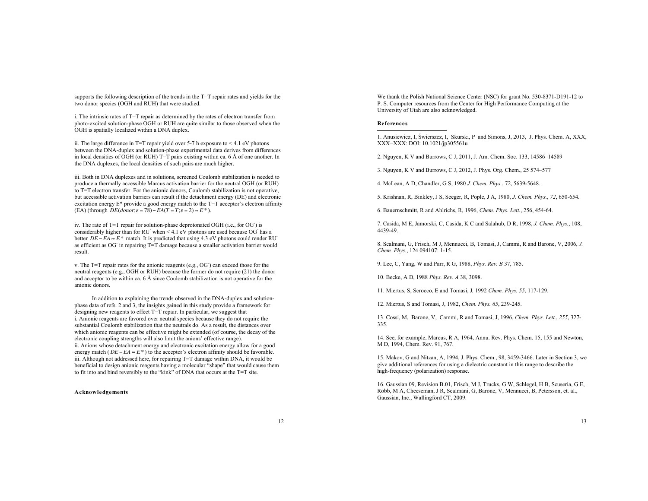supports the following description of the trends in the T=T repair rates and yields for the two donor species (OGH and RUH) that were studied.

i. The intrinsic rates of T=T repair as determined by the rates of electron transfer from photo-excited solution-phase OGH or RUH are quite similar to those observed when the OGH is spatially localized within a DNA duplex.

ii. The large difference in T=T repair yield over 5-7 h exposure to < 4.1 eV photons between the DNA-duplex and solution-phase experimental data derives from differences in local densities of OGH (or RUH)  $T=\overline{T}$  pairs existing within ca. 6 Å of one another. In the DNA duplexes, the local densities of such pairs are much higher.

iii. Both in DNA duplexes and in solutions, screened Coulomb stabilization is needed to produce a thermally accessible Marcus activation barrier for the neutral OGH (or RUH) to T=T electron transfer. For the anionic donors, Coulomb stabilization is not operative, but accessible activation barriers can result if the detachment energy (DE) and electronic excitation energy E\* provide a good energy match to the T=T acceptor's electron affinity (EA) (through  $\overrightarrow{DE}(d\overrightarrow{onor}; \varepsilon = 78) - EA(T = T; \varepsilon = 2) \approx E^*$ ).

iv. The rate of T=T repair for solution-phase deprotonated OGH (i.e., for OG) is considerably higher than for RU<sup>-</sup> when  $\leq$  4.1 eV photons are used because OG<sup>-</sup> has a better  $DE - EA \approx E^*$  match. It is predicted that using 4.3 eV photons could render RU<sup>-</sup> as efficient as OG- in repairing T=T damage because a smaller activation barrier would result.

 $v$ . The T=T repair rates for the anionic reagents (e.g., OG) can exceed those for the neutral reagents (e.g., OGH or RUH) because the former do not require (21) the donor and acceptor to be within ca. 6 Å since Coulomb stabilization is not operative for the anionic donors.

In addition to explaining the trends observed in the DNA-duplex and solutionphase data of refs. 2 and 3, the insights gained in this study provide a framework for designing new reagents to effect T=T repair. In particular, we suggest that i. Anionic reagents are favored over neutral species because they do not require the substantial Coulomb stabilization that the neutrals do. As a result, the distances over which anionic reagents can be effective might be extended (of course, the decay of the electronic coupling strengths will also limit the anions' effective range). ii. Anions whose detachment energy and electronic excitation energy allow for a good energy match ( $DE - EA \approx E^*$ ) to the acceptor's electron affinity should be favorable. iii. Although not addressed here, for repairing T=T damage within DNA, it would be beneficial to design anionic reagents having a molecular "shape" that would cause them to fit into and bind reversibly to the "kink" of DNA that occurs at the T=T site.

## **Acknowledgements**

We thank the Polish National Science Center (NSC) for grant No. 530-8371-D191-12 to P. S. Computer resources from the Center for High Performance Computing at the University of Utah are also acknowledged.

# **References**

 $\overline{a}$ 

1. Anusiewicz, I, Świerszcz, I, Skurski, P and Simons, J, 2013, J. Phys. Chem. A, XXX, XXX-XXX: DOI: 10.1021/jp305561u

2. Nguyen, K V and Burrows, C J, 2011, J. Am. Chem. Soc. 133, 14586–14589

3. Nguyen, K V and Burrows, C J, 2012, J. Phys. Org. Chem., 25 574–577

4. McLean, A D, Chandler, G S, 1980 *J. Chem. Phys.*, 72, 5639-5648.

5. Krishnan, R, Binkley, J S, Seeger, R, Pople, J A, 1980, *J. Chem. Phys.*, *72*, 650-654.

6. Bauernschmitt, R and Ahlrichs, R, 1996, *Chem. Phys. Lett.*, 256, 454-64.

7. Casida, M E, Jamorski, C, Casida, K C and Salahub, D R, 1998, *J. Chem. Phys.*, 108, 4439-49.

8. Scalmani, G, Frisch, M J, Mennucci, B, Tomasi, J, Cammi, R and Barone, V, 2006, *J. Chem. Phys.*, 124 094107: 1-15.

9. Lee, C, Yang, W and Parr, R G, 1988, *Phys. Rev. B* 37, 785.

10. Becke, A D, 1988 *Phys. Rev. A* 38, 3098.

11. Miertus, S, Scrocco, E and Tomasi, J*,* 1992 *Chem. Phys. 55*, 117-129.

12. Miertus, S and Tomasi, J, 1982, *Chem. Phys. 65*, 239-245.

13. Cossi, M, Barone, V, Cammi, R and Tomasi, J, 1996, *Chem. Phys. Lett.*, *255*, 327- 335.

14. See, for example, Marcus, R A, 1964, Annu. Rev. Phys. Chem. 15, 155 and Newton, M D, 1994, Chem. Rev. 91, 767.

15. Makov, G and Nitzan, A, 1994, J. Phys. Chem., 98, 3459-3466. Later in Section 3, we give additional references for using a dielectric constant in this range to describe the high-frequency (polarization) response.

16. Gaussian 09, Revision B.01, Frisch, M J, Trucks, G W, Schlegel, H B, Scuseria, G E, Robb, M A, Cheeseman, J R, Scalmani, G, Barone, V, Mennucci, B, Petersson, et. al., Gaussian, Inc., Wallingford CT, 2009.